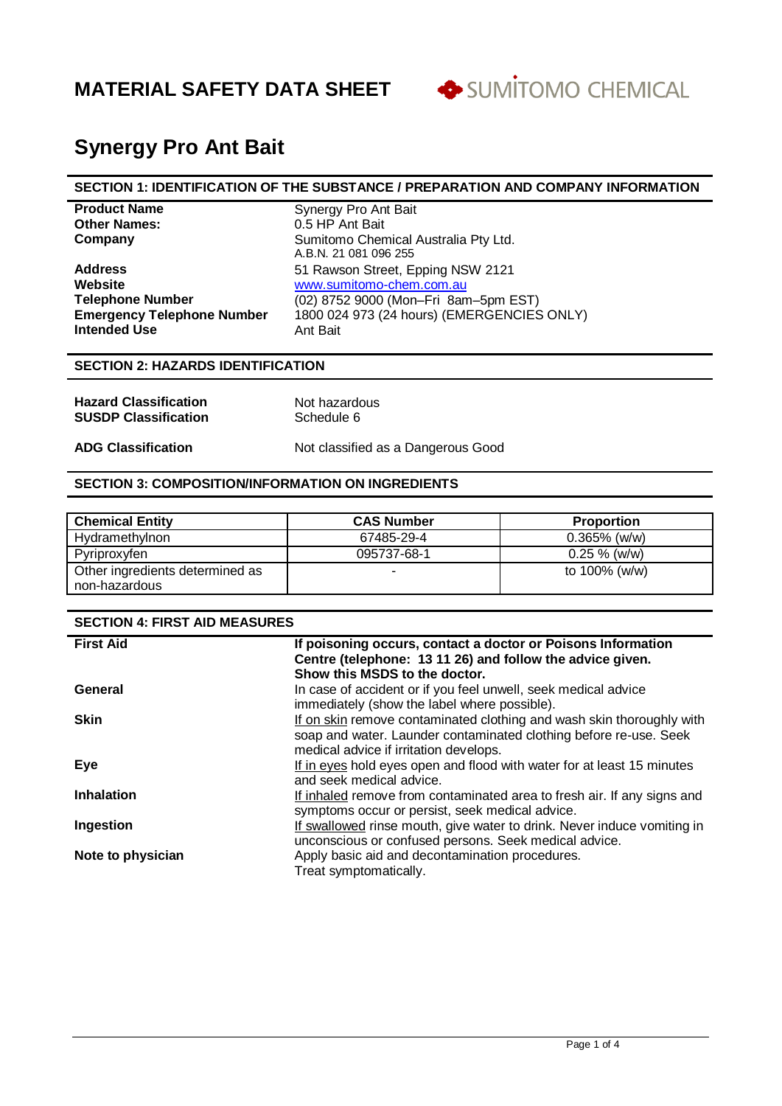

# **Synergy Pro Ant Bait**

#### **SECTION 1: IDENTIFICATION OF THE SUBSTANCE / PREPARATION AND COMPANY INFORMATION**

| <b>Product Name</b>               | Synergy Pro Ant Bait  |
|-----------------------------------|-----------------------|
| <b>Other Names:</b>               | 0.5 HP Ant Bait       |
| Company                           | Sumitomo Chemical /   |
|                                   | A.B.N. 21 081 096 255 |
| <b>Address</b>                    | 51 Rawson Street, Ep  |
| Website                           | www.sumitomo-chem     |
| <b>Telephone Number</b>           | (02) 8752 9000 (Mon-  |
| <b>Emergency Telephone Number</b> | 1800 024 973 (24 hou  |
| <b>Intended Use</b>               | Ant Bait              |

**Remical Australia Pty Ltd.** 096 255 **Address** Epping NSW 2121 **wabsiter** www.sumitomore.com 00 (Mon–Fri 8am–5pm EST) **Emergency Telephone Number** 1800 024 973 (24 hours) (EMERGENCIES ONLY)

### **SECTION 2: HAZARDS IDENTIFICATION**

| <b>Hazard Classification</b> | Not hazardous |
|------------------------------|---------------|
| <b>SUSDP Classification</b>  | Schedule 6    |

**ADG Classification** Not classified as a Dangerous Good

### **SECTION 3: COMPOSITION/INFORMATION ON INGREDIENTS**

| <b>Chemical Entity</b>          | <b>CAS Number</b> | <b>Proportion</b> |
|---------------------------------|-------------------|-------------------|
| Hydramethylnon                  | 67485-29-4        | $0.365\%$ (w/w)   |
| Pyriproxyfen                    | 095737-68-1       | $0.25 \%$ (w/w)   |
| Other ingredients determined as |                   | to 100% (w/w)     |
| non-hazardous                   |                   |                   |

| <b>SECTION 4: FIRST AID MEASURES</b> |                                                                                                                                                                                      |  |
|--------------------------------------|--------------------------------------------------------------------------------------------------------------------------------------------------------------------------------------|--|
| <b>First Aid</b>                     | If poisoning occurs, contact a doctor or Poisons Information<br>Centre (telephone: 13 11 26) and follow the advice given.<br>Show this MSDS to the doctor.                           |  |
| General                              | In case of accident or if you feel unwell, seek medical advice<br>immediately (show the label where possible).                                                                       |  |
| <b>Skin</b>                          | If on skin remove contaminated clothing and wash skin thoroughly with<br>soap and water. Launder contaminated clothing before re-use. Seek<br>medical advice if irritation develops. |  |
| Eye                                  | If in eyes hold eyes open and flood with water for at least 15 minutes<br>and seek medical advice.                                                                                   |  |
| <b>Inhalation</b>                    | If inhaled remove from contaminated area to fresh air. If any signs and<br>symptoms occur or persist, seek medical advice.                                                           |  |
| Ingestion                            | If swallowed rinse mouth, give water to drink. Never induce vomiting in<br>unconscious or confused persons. Seek medical advice.                                                     |  |
| Note to physician                    | Apply basic aid and decontamination procedures.<br>Treat symptomatically.                                                                                                            |  |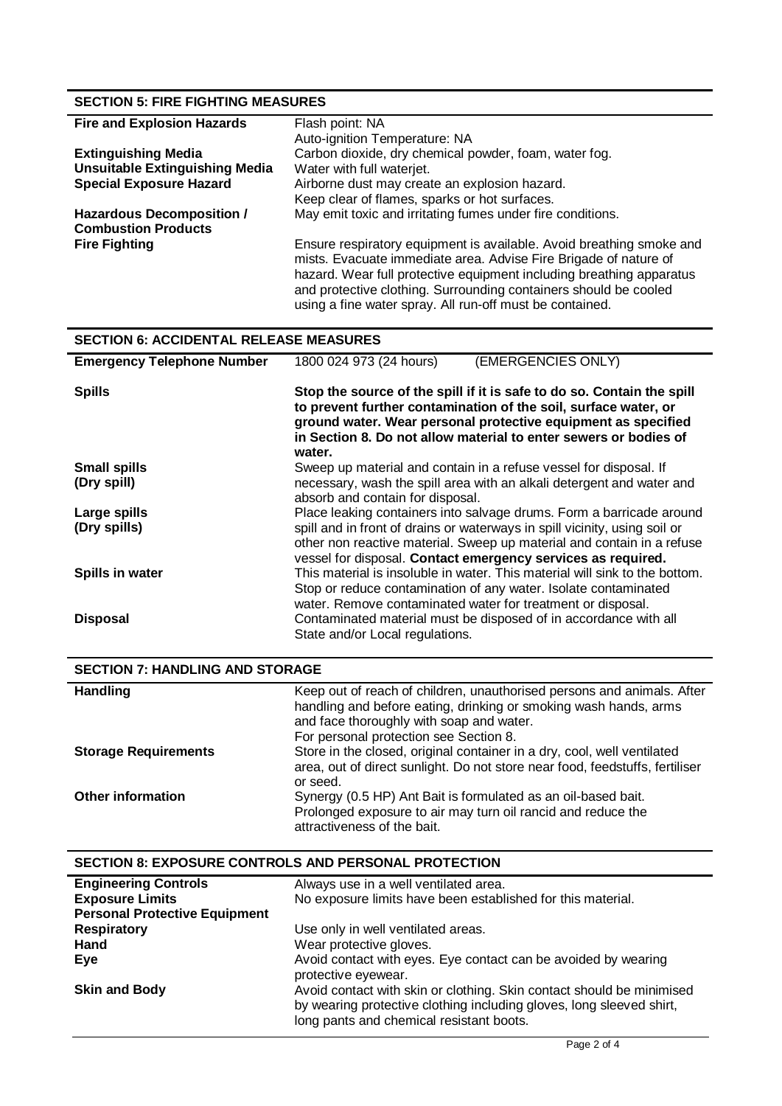# **SECTION 5: FIRE FIGHTING MEASURES**

| <b>Fire and Explosion Hazards</b>     | Flash point: NA                                                                                                                                                                                                                                                                                                                                  |
|---------------------------------------|--------------------------------------------------------------------------------------------------------------------------------------------------------------------------------------------------------------------------------------------------------------------------------------------------------------------------------------------------|
|                                       | Auto-ignition Temperature: NA                                                                                                                                                                                                                                                                                                                    |
| <b>Extinguishing Media</b>            | Carbon dioxide, dry chemical powder, foam, water fog.                                                                                                                                                                                                                                                                                            |
| <b>Unsuitable Extinguishing Media</b> | Water with full waterjet.                                                                                                                                                                                                                                                                                                                        |
| <b>Special Exposure Hazard</b>        | Airborne dust may create an explosion hazard.                                                                                                                                                                                                                                                                                                    |
|                                       | Keep clear of flames, sparks or hot surfaces.                                                                                                                                                                                                                                                                                                    |
| <b>Hazardous Decomposition /</b>      | May emit toxic and irritating fumes under fire conditions.                                                                                                                                                                                                                                                                                       |
| <b>Combustion Products</b>            |                                                                                                                                                                                                                                                                                                                                                  |
| <b>Fire Fighting</b>                  | Ensure respiratory equipment is available. Avoid breathing smoke and<br>mists. Evacuate immediate area. Advise Fire Brigade of nature of<br>hazard. Wear full protective equipment including breathing apparatus<br>and protective clothing. Surrounding containers should be cooled<br>using a fine water spray. All run-off must be contained. |

# **SECTION 6: ACCIDENTAL RELEASE MEASURES**

| <b>Emergency Telephone Number</b> | 1800 024 973 (24 hours)          | (EMERGENCIES ONLY)                                                                                                                                                                                                                                                             |
|-----------------------------------|----------------------------------|--------------------------------------------------------------------------------------------------------------------------------------------------------------------------------------------------------------------------------------------------------------------------------|
| <b>Spills</b>                     | water.                           | Stop the source of the spill if it is safe to do so. Contain the spill<br>to prevent further contamination of the soil, surface water, or<br>ground water. Wear personal protective equipment as specified<br>in Section 8. Do not allow material to enter sewers or bodies of |
| <b>Small spills</b>               |                                  | Sweep up material and contain in a refuse vessel for disposal. If                                                                                                                                                                                                              |
| (Dry spill)                       | absorb and contain for disposal. | necessary, wash the spill area with an alkali detergent and water and                                                                                                                                                                                                          |
| Large spills                      |                                  | Place leaking containers into salvage drums. Form a barricade around                                                                                                                                                                                                           |
| (Dry spills)                      |                                  | spill and in front of drains or waterways in spill vicinity, using soil or<br>other non reactive material. Sweep up material and contain in a refuse<br>vessel for disposal. Contact emergency services as required.                                                           |
| Spills in water                   |                                  | This material is insoluble in water. This material will sink to the bottom.                                                                                                                                                                                                    |
|                                   |                                  | Stop or reduce contamination of any water. Isolate contaminated<br>water. Remove contaminated water for treatment or disposal.                                                                                                                                                 |
| <b>Disposal</b>                   |                                  | Contaminated material must be disposed of in accordance with all                                                                                                                                                                                                               |
|                                   | State and/or Local regulations.  |                                                                                                                                                                                                                                                                                |

| <b>SECTION 7: HANDLING AND STORAGE</b> |                                                                                                                                                                                                                                  |  |
|----------------------------------------|----------------------------------------------------------------------------------------------------------------------------------------------------------------------------------------------------------------------------------|--|
| <b>Handling</b>                        | Keep out of reach of children, unauthorised persons and animals. After<br>handling and before eating, drinking or smoking wash hands, arms<br>and face thoroughly with soap and water.<br>For personal protection see Section 8. |  |
| <b>Storage Requirements</b>            | Store in the closed, original container in a dry, cool, well ventilated<br>area, out of direct sunlight. Do not store near food, feedstuffs, fertiliser<br>or seed.                                                              |  |
| <b>Other information</b>               | Synergy (0.5 HP) Ant Bait is formulated as an oil-based bait.<br>Prolonged exposure to air may turn oil rancid and reduce the<br>attractiveness of the bait.                                                                     |  |

# **SECTION 8: EXPOSURE CONTROLS AND PERSONAL PROTECTION**

| <b>Engineering Controls</b>          | Always use in a well ventilated area.                                 |
|--------------------------------------|-----------------------------------------------------------------------|
| <b>Exposure Limits</b>               | No exposure limits have been established for this material.           |
| <b>Personal Protective Equipment</b> |                                                                       |
| <b>Respiratory</b>                   | Use only in well ventilated areas.                                    |
| Hand                                 | Wear protective gloves.                                               |
| Eve                                  | Avoid contact with eyes. Eye contact can be avoided by wearing        |
|                                      | protective eyewear.                                                   |
| <b>Skin and Body</b>                 | Avoid contact with skin or clothing. Skin contact should be minimised |
|                                      | by wearing protective clothing including gloves, long sleeved shirt,  |
|                                      | long pants and chemical resistant boots.                              |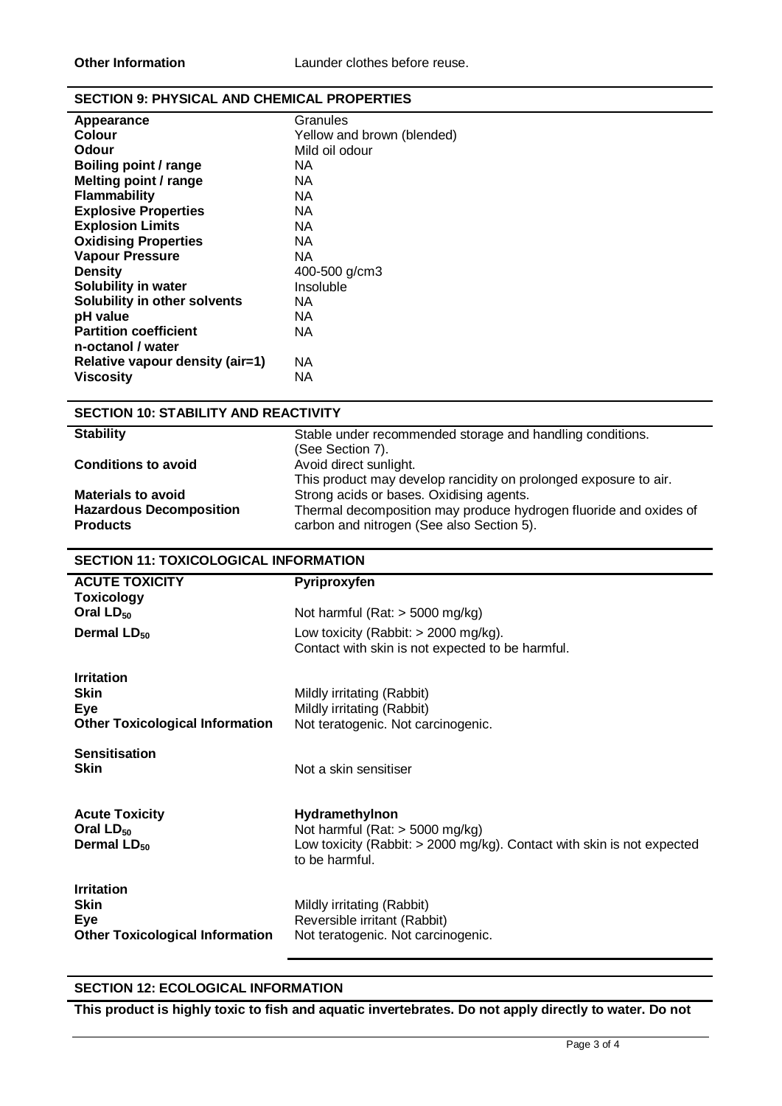### **SECTION 9: PHYSICAL AND CHEMICAL PROPERTIES**

| Granules                   |
|----------------------------|
| Yellow and brown (blended) |
| Mild oil odour             |
| ΝA                         |
| ΝA                         |
| ΝA                         |
| NA.                        |
| ΝA                         |
| ΝA                         |
| ΝA                         |
| 400-500 g/cm3              |
| Insoluble                  |
| NA.                        |
| ΝA                         |
| ΝA                         |
|                            |
| ΝA                         |
| ΝA                         |
|                            |

# **SECTION 10: STABILITY AND REACTIVITY**

| <b>Stability</b>               | Stable under recommended storage and handling conditions.         |
|--------------------------------|-------------------------------------------------------------------|
|                                | (See Section 7).                                                  |
| <b>Conditions to avoid</b>     | Avoid direct sunlight.                                            |
|                                | This product may develop rancidity on prolonged exposure to air.  |
| <b>Materials to avoid</b>      | Strong acids or bases. Oxidising agents.                          |
| <b>Hazardous Decomposition</b> | Thermal decomposition may produce hydrogen fluoride and oxides of |
| <b>Products</b>                | carbon and nitrogen (See also Section 5).                         |

# **SECTION 11: TOXICOLOGICAL INFORMATION**

| <b>ACUTE TOXICITY</b><br><b>Toxicology</b>                                        | Pyriproxyfen                                                                                                                                      |
|-----------------------------------------------------------------------------------|---------------------------------------------------------------------------------------------------------------------------------------------------|
| Oral $LD_{50}$                                                                    | Not harmful (Rat: $>$ 5000 mg/kg)                                                                                                                 |
| Dermal LD <sub>50</sub>                                                           | Low toxicity (Rabbit: $>$ 2000 mg/kg).<br>Contact with skin is not expected to be harmful.                                                        |
| <b>Irritation</b><br><b>Skin</b><br>Eye<br><b>Other Toxicological Information</b> | Mildly irritating (Rabbit)<br>Mildly irritating (Rabbit)<br>Not teratogenic. Not carcinogenic.                                                    |
| <b>Sensitisation</b><br><b>Skin</b>                                               | Not a skin sensitiser                                                                                                                             |
| <b>Acute Toxicity</b><br>Oral $LD_{50}$<br>Dermal $LD_{50}$                       | Hydramethylnon<br>Not harmful (Rat: $>$ 5000 mg/kg)<br>Low toxicity (Rabbit: $>$ 2000 mg/kg). Contact with skin is not expected<br>to be harmful. |
| <b>Irritation</b><br><b>Skin</b><br>Eye<br><b>Other Toxicological Information</b> | Mildly irritating (Rabbit)<br>Reversible irritant (Rabbit)<br>Not teratogenic. Not carcinogenic.                                                  |

# **SECTION 12: ECOLOGICAL INFORMATION**

**This product is highly toxic to fish and aquatic invertebrates. Do not apply directly to water. Do not**